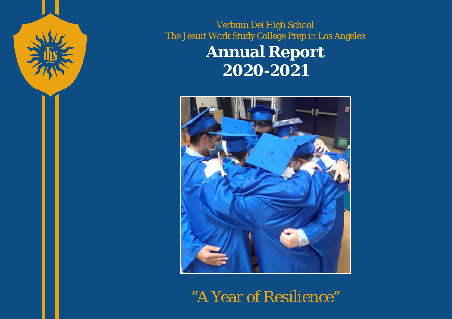

Verbum Dei High School The Jesuit Work Study College Prep in Los Angeles **Annual Report**

**2020-2021**



"A Year of Resilience"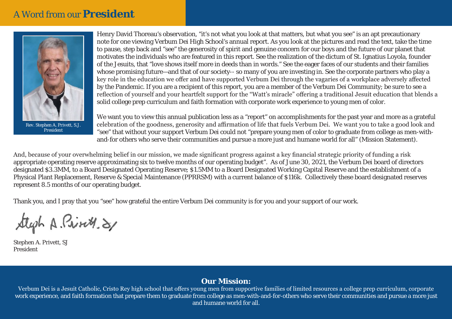# A Word from our **President**



*Rev. Stephen A. Privett, S.J. President*

Henry David Thoreau's observation, "it's not what you look at that matters, but what you see" is an apt precautionary note for one viewing Verbum Dei High School's annual report. As you look at the pictures and read the text, take the time to pause, step back and "see" the generosity of spirit and genuine concern for our boys and the future of our planet that motivates the individuals who are featured in this report. See the realization of the dictum of St. Ignatius Loyola, founder of the Jesuits, that "love shows itself more in deeds than in words." See the eager faces of our students and their families whose promising future—and that of our society-- so many of you are investing in. See the corporate partners who play a key role in the education we offer and have supported Verbum Dei through the vagaries of a workplace adversely affected by the Pandemic. If you are a recipient of this report, you are a member of the Verbum Dei Community; be sure to see a reflection of yourself and your heartfelt support for the "Watt's miracle" offering a traditional Jesuit education that blends a solid college prep curriculum and faith formation with corporate work experience to young men of color.

We want you to view this annual publication less as a "report" on accomplishments for the past year and more as a grateful celebration of the goodness, generosity and affirmation of life that fuels Verbum Dei. We want you to take a good look and "see" that without your support Verbum Dei could not "prepare young men of color to graduate from college as men-withand-for others who serve their communities and pursue a more just and humane world for all" (Mission Statement).

And, because of your overwhelming belief in our mission, we made significant progress against a key financial strategic priority of funding a risk appropriate operating reserve approximating six to twelve months of our operating budget". As of June 30, 2021, the Verbum Dei board of directors designated \$3.3MM, to a Board Designated Operating Reserve; \$1.5MM to a Board Designated Working Capital Reserve and the establishment of a Physical Plant Replacement, Reserve & Special Maintenance (PPRRSM) with a current balance of \$116k. Collectively these board designated reserves represent 8.5 months of our operating budget.

Thank you, and I pray that you "see" how grateful the entire Verbum Dei community is for you and your support of our work.

Steph A Print, 81

Stephen A. Privett, SJ President

#### **Our Mission:**

Verbum Dei is a Jesuit Catholic, Cristo Rey high school that offers young men from supportive families of limited resources a college prep curriculum, corporate work experience, and faith formation that prepare them to graduate from college as men-with-and-for-others who serve their communities and pursue a more just and humane world for all.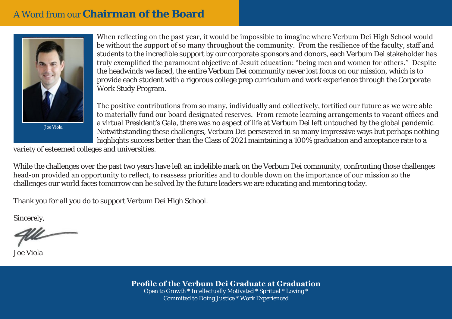# A Word from our **Chairman of the Board**



Joe Viola

When reflecting on the past year, it would be impossible to imagine where Verbum Dei High School would be without the support of so many throughout the community. From the resilience of the faculty, staff and students to the incredible support by our corporate sponsors and donors, each Verbum Dei stakeholder has truly exemplified the paramount objective of Jesuit education: "being men and women for others." Despite the headwinds we faced, the entire Verbum Dei community never lost focus on our mission, which is to provide each student with a rigorous college prep curriculum and work experience through the Corporate Work Study Program.

The positive contributions from so many, individually and collectively, fortified our future as we were able to materially fund our board designated reserves. From remote learning arrangements to vacant offices and a virtual President's Gala, there was no aspect of life at Verbum Dei left untouched by the global pandemic. Notwithstanding these challenges, Verbum Dei persevered in so many impressive ways but perhaps nothing highlights success better than the Class of 2021 maintaining a 100% graduation and acceptance rate to a

variety of esteemed colleges and universities.

While the challenges over the past two years have left an indelible mark on the Verbum Dei community, confronting those challenges head-on provided an opportunity to reflect, to reassess priorities and to double down on the importance of our mission so the challenges our world faces tomorrow can be solved by the future leaders we are educating and mentoring today.

Thank you for all you do to support Verbum Dei High School.

Sincerely,

Joe Viola

**Profile of the Verbum Dei Graduate at Graduation** Open to Growth \* Intellectually Motivated \* Spritual \* Loving \* Commited to Doing Justice \* Work Experienced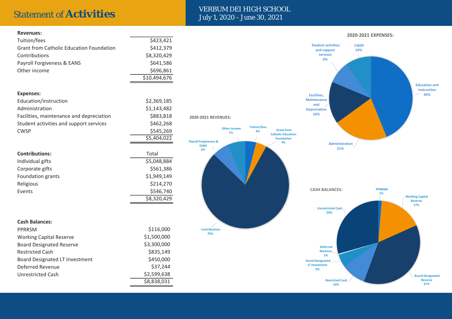#### Statement of **Activities** VERBUM DEI HIGH SCHOOL July 1, 2020 - June 30, 2021

| <b>Revenues:</b>                                |              |
|-------------------------------------------------|--------------|
| Tuition/fees                                    | \$423,421    |
| <b>Grant from Catholic Education Foundation</b> | \$412,379    |
| Contributions                                   | \$8,320,429  |
| Payroll Forgiveness & EANS                      | \$641,586    |
| Other income                                    | \$696,861    |
|                                                 | \$10,494,676 |
|                                                 |              |
| <b>Expenses:</b>                                |              |
| Education/instruction                           | \$2,369,185  |
| Administration                                  | \$1,143,482  |
| Facilities, maintenance and depreciation        | \$883,818    |
| Student activities and support services         | \$462,268    |
| <b>CWSP</b>                                     | \$545,269    |
|                                                 | \$5,404,022  |
|                                                 |              |
| <b>Contributions:</b>                           | Total        |
| Individual gifts                                | \$5,048,884  |
| Corporate gifts                                 | \$561,386    |
| Foundation grants                               | \$1,949,149  |
| Religious                                       | \$214,270    |
| Events                                          | \$546,740    |
|                                                 | \$8,320,429  |
|                                                 |              |
| <b>Cash Balances:</b>                           |              |
| PPRRSM                                          | \$116,000    |
| <b>Working Capital Reserve</b>                  | \$1,500,000  |
| <b>Board Designated Reserve</b>                 | \$3,300,000  |
| <b>Restricted Cash</b>                          | \$835,149    |
| <b>Board Designated LT Investment</b>           | \$450,000    |
| <b>Deferred Revenue</b>                         | \$37,244     |
| <b>Unrestricted Cash</b>                        | \$2,599,638  |

\$8,838,031

**Contributions 79%**

**Payroll Forgiveness & EANS 6%**

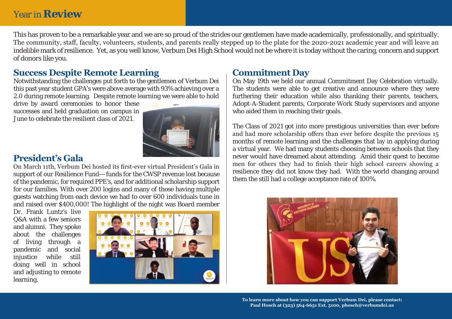# Year in **Review**

This has proven to be a remarkable year and we are so proud of the strides our gentlemen have made academically, professionally, and spiritually. The community, staff, faculty, volunteers, students, and parents really stepped up to the plate for the 2020-2021 academic year and will leave an indelible mark of resilience. Yet, as you well know, Verbum Dei High School would not be where it is today without the caring, concern and support of donors like you.

#### **Success Despite Remote Learning**

Notwithstanding the challenges put forth to the gentlemen of Verbum Dei this past year student GPA's were above average with 93% achieving over a 2.0 during remote learning. Despite remote learning we were able to hold

drive by award ceremonies to honor these successes and held graduation on campus in June to celebrate the resilient class of 2021.



#### **President's Gala**

On March 11th, Verbum Dei hosted its first-ever virtual President's Gala in support of our Resilience Fund— funds for the CWSP revenue lost because of the pandemic, for required PPE's, and for additional scholarship support for our families. With over 200 logins and many of those having multiple guests watching from each device we had to over 600 individuals tune in and raised over \$400,000! The highlight of the night was Board member

Dr. Frank Luntz's live Q&A with a few seniors and alumni. They spoke about the challenges of living through a pandemic and social injustice while still doing well in school and adjusting to remote learning.



### **Commitment Day**

On May 19th we held our annual Commitment Day Celebration virtually. The students were able to get creative and announce where they were furthering their education while also thanking their parents, teachers, Adopt-A-Student parents, Corporate Work Study supervisors and anyone who aided them in reaching their goals.

The Class of 2021 got into more prestigious universities than ever before and had more scholarship offers than ever before despite the previous 15 months of remote learning and the challenges that lay in applying during a virtual year. We had many students choosing between schools that they never would have dreamed about attending. Amid their quest to become men for others they had to finish their high school careers showing a resilience they did not know they had. With the world changing around them the still had a college acceptance rate of 100%.



**To learn more about how you can support Verbum Dei, please contact: Paul Hosch at (323) 564-6651 Ext. 5100, phosch@verbumdei.us**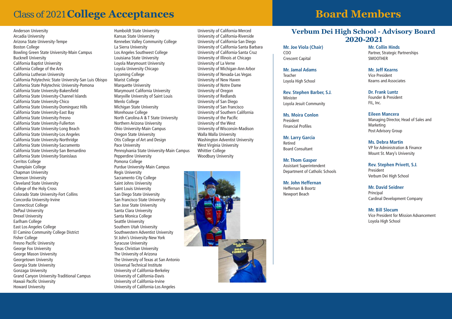# Class of 2021 **College Acceptances**

Anderson University Arcadia University Arizona State University-Tempe Boston College Bowling Green State University-Main Campus Bucknell University California Baptist University California College of the Arts California Lutheran University California Polytechnic State University-San Luis Obispo California State Polytechnic University-Pomona California State University-Bakersfield California State University-Channel Islands California State University-Chico California State University-Dominguez Hills California State University-East Bay California State University-Fresno California State University-Fullerton California State University-Long Beach California State University-Los Angeles California State University-Northridge California State University-Sacramento California State University-San Bernardino California State University-Stanislaus Cerritos College Champlain College Chapman University Clemson University Cleveland State University College of the Holy Cross Colorado State University-Fort Collins Concordia University-Irvine Connecticut College DePaul University Drexel University Earlham College East Los Angeles College El Camino Community College District Fisher College Fresno Pacific University George Fox University George Mason University Georgetown University Georgia State University Gonzaga University Grand Canyon University-Traditional Campus Hawaii Pacific University Howard University

Humboldt State University Kansas State University Kennebec Valley Community College La Sierra University Los Angeles Southwest College Louisiana State University Loyola Marymount University Loyola University Chicago Lycoming College Marist College Marquette University Marymount California University Maryville University of Saint Louis Menlo College Michigan State University Morehouse College North Carolina A & T State University Northern Arizona University Ohio University-Main Campus Oregon State University Otis College of Art and Design Pace University Pennsylvania State University-Main Campus Pepperdine University Pomona College Purdue University-Main Campus Regis University Sacramento City College Saint Johns University Saint Louis University San Diego State University San Francisco State University San Jose State University Santa Clara University Santa Monica College Seattle University Southern Utah University Southwestern Adventist University St John's University-New York Syracuse University Texas Christian University The University of Arizona The University of Texas at San Antonio Universal Technical Institute University of California-Berkeley University of California-Davis University of California-Irvine University of California-Los Angeles

University of California-Merced University of California-Riverside University of California-San Diego University of California-Santa Barbara University of California-Santa Cruz University of Illinois at Chicago University of La Verne University of Michigan-Ann Arbor University of Nevada-Las Vegas University of New Haven University of Notre Dame University of Oregon University of Redlands University of San Diego University of San Francisco University of Southern California University of the Pacific University of the West University of Wisconsin-Madison Walla Walla University Washington Adventist University West Virginia University Whittier College Woodbury University



# **Board Members**

#### **Verbum Dei High School - Advisory Board 2020-2021**

**Mr. Joe Viola (Chair)**  COO Crescent Capital

**Mr. Jamal Adams** Teacher Loyola High School

**Rev. Stephen Barber, S.J.** Minister Loyola Jesuit Community

**Ms. Moira Conlon** President Financial Profiles

**Mr. Larry Garcia** Retired Board Consultant

**Mr. Thom Gasper** Assistant Superintendent Department of Catholic Schools

**Mr. John Heffernan** Heffernan & Boortz Newport Beach

**Mr. Collin Hinds** Partner, Strategic Partnerships SMOOTHER

**Mr. Jeff Kearns** Vice President Kearns and Associates

**Dr. Frank Luntz** Founder & President FIL, Inc.

**Eileen Mancera** Managing Director, Head of Sales and Marketing Post Advisory Group

**Ms. Debra Martin** VP for Administration & Finance Mount St. Mary's University

**Rev. Stephen Privett, S.J.** President Verbum Dei High School

**Mr. David Seidner** Principal Cardinal Development Company

**Mr. Bill Slocum** Vice President for Mission Advancement Loyola High School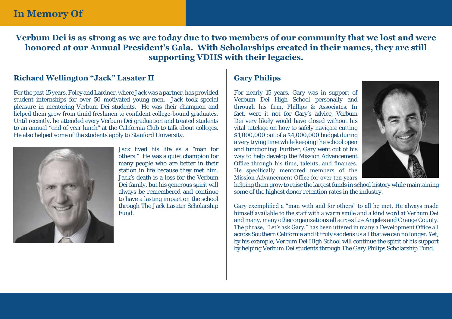## **In Memory Of**

**Verbum Dei is as strong as we are today due to two members of our community that we lost and were honored at our Annual President's Gala. With Scholarships created in their names, they are still supporting VDHS with their legacies.**

#### **Richard Wellington "Jack" Lasater II**

For the past 15 years, Foley and Lardner, where Jack was a partner, has provided student internships for over 50 motivated young men. Jack took special pleasure in mentoring Verbum Dei students. He was their champion and helped them grow from timid freshmen to confident college-bound graduates. Until recently, he attended every Verbum Dei graduation and treated students to an annual "end of year lunch" at the California Club to talk about colleges. He also helped some of the students apply to Stanford University.



Jack lived his life as a "man for others." He was a quiet champion for many people who are better in their station in life because they met him. Jack's death is a loss for the Verbum Dei family, but his generous spirit will always be remembered and continue to have a lasting impact on the school through The Jack Lasater Scholarship Fund.

#### **Gary Philips**

For nearly 15 years, Gary was in support of Verbum Dei High School personally and through his firm, Phillips & Associates. In fact, were it not for Gary's advice, Verbum Dei very likely would have closed without his vital tutelage on how to safely navigate cutting \$1,000,000 out of a \$4,000,000 budget during a very trying time while keeping the school open and functioning. Further, Gary went out of his way to help develop the Mission Advancement Office through his time, talents, and finances. He specifically mentored members of the Mission Advancement Office for over ten years



helping them grow to raise the largest funds in school history while maintaining some of the highest donor retention rates in the industry.

Gary exemplified a "man with and for others" to all he met. He always made himself available to the staff with a warm smile and a kind word at Verbum Dei and many, many other organizations all across Los Angeles and Orange County. The phrase, "Let's ask Gary," has been uttered in many a Development Office all across Southern California and it truly saddens us all that we can no longer. Yet, by his example, Verbum Dei High School will continue the spirit of his support by helping Verbum Dei students through The Gary Philips Scholarship Fund.